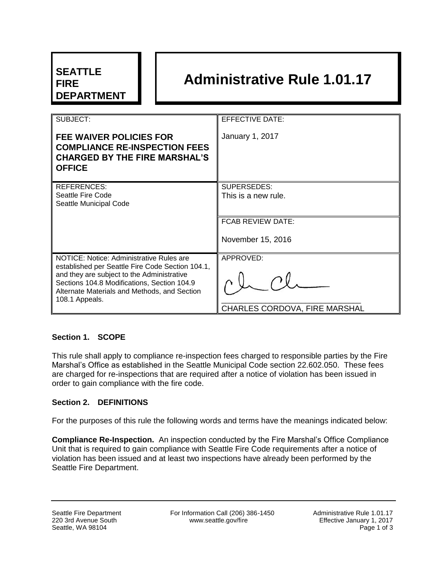| <b>SEATTLE</b><br><b>FIRE</b><br><b>DEPARTMENT</b>                                                                                                                                                                                                          |  | <b>Administrative Rule 1.01.17</b>                |
|-------------------------------------------------------------------------------------------------------------------------------------------------------------------------------------------------------------------------------------------------------------|--|---------------------------------------------------|
| SUBJECT:                                                                                                                                                                                                                                                    |  | <b>EFFECTIVE DATE:</b>                            |
| <b>FEE WAIVER POLICIES FOR</b><br><b>COMPLIANCE RE-INSPECTION FEES</b><br><b>CHARGED BY THE FIRE MARSHAL'S</b><br><b>OFFICE</b>                                                                                                                             |  | January 1, 2017                                   |
| <b>REFERENCES:</b><br>Seattle Fire Code<br>Seattle Municipal Code                                                                                                                                                                                           |  | SUPERSEDES:<br>This is a new rule.                |
|                                                                                                                                                                                                                                                             |  | <b>FCAB REVIEW DATE:</b><br>November 15, 2016     |
| NOTICE: Notice: Administrative Rules are<br>established per Seattle Fire Code Section 104.1,<br>and they are subject to the Administrative<br>Sections 104.8 Modifications, Section 104.9<br>Alternate Materials and Methods, and Section<br>108.1 Appeals. |  | APPROVED:<br><b>CHARLES CORDOVA, FIRE MARSHAL</b> |

## **Section 1. SCOPE**

This rule shall apply to compliance re-inspection fees charged to responsible parties by the Fire Marshal's Office as established in the Seattle Municipal Code section 22.602.050. These fees are charged for re-inspections that are required after a notice of violation has been issued in order to gain compliance with the fire code.

#### **Section 2. DEFINITIONS**

For the purposes of this rule the following words and terms have the meanings indicated below:

**Compliance Re-Inspection.** An inspection conducted by the Fire Marshal's Office Compliance Unit that is required to gain compliance with Seattle Fire Code requirements after a notice of violation has been issued and at least two inspections have already been performed by the Seattle Fire Department.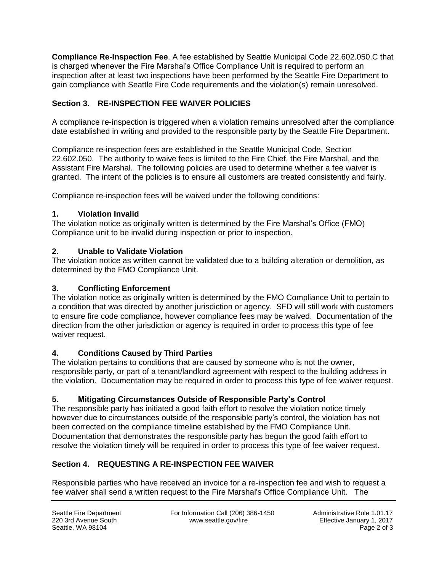**Compliance Re-Inspection Fee**. A fee established by Seattle Municipal Code 22.602.050.C that is charged whenever the Fire Marshal's Office Compliance Unit is required to perform an inspection after at least two inspections have been performed by the Seattle Fire Department to gain compliance with Seattle Fire Code requirements and the violation(s) remain unresolved.

# **Section 3. RE-INSPECTION FEE WAIVER POLICIES**

A compliance re-inspection is triggered when a violation remains unresolved after the compliance date established in writing and provided to the responsible party by the Seattle Fire Department.

Compliance re-inspection fees are established in the Seattle Municipal Code, Section 22.602.050. The authority to waive fees is limited to the Fire Chief, the Fire Marshal, and the Assistant Fire Marshal. The following policies are used to determine whether a fee waiver is granted. The intent of the policies is to ensure all customers are treated consistently and fairly.

Compliance re-inspection fees will be waived under the following conditions:

## **1. Violation Invalid**

The violation notice as originally written is determined by the Fire Marshal's Office (FMO) Compliance unit to be invalid during inspection or prior to inspection.

#### **2. Unable to Validate Violation**

The violation notice as written cannot be validated due to a building alteration or demolition, as determined by the FMO Compliance Unit.

### **3. Conflicting Enforcement**

The violation notice as originally written is determined by the FMO Compliance Unit to pertain to a condition that was directed by another jurisdiction or agency. SFD will still work with customers to ensure fire code compliance, however compliance fees may be waived. Documentation of the direction from the other jurisdiction or agency is required in order to process this type of fee waiver request.

## **4. Conditions Caused by Third Parties**

The violation pertains to conditions that are caused by someone who is not the owner, responsible party, or part of a tenant/landlord agreement with respect to the building address in the violation. Documentation may be required in order to process this type of fee waiver request.

## **5. Mitigating Circumstances Outside of Responsible Party's Control**

The responsible party has initiated a good faith effort to resolve the violation notice timely however due to circumstances outside of the responsible party's control, the violation has not been corrected on the compliance timeline established by the FMO Compliance Unit. Documentation that demonstrates the responsible party has begun the good faith effort to resolve the violation timely will be required in order to process this type of fee waiver request.

## **Section 4. REQUESTING A RE-INSPECTION FEE WAIVER**

Responsible parties who have received an invoice for a re-inspection fee and wish to request a fee waiver shall send a written request to the Fire Marshal's Office Compliance Unit. The